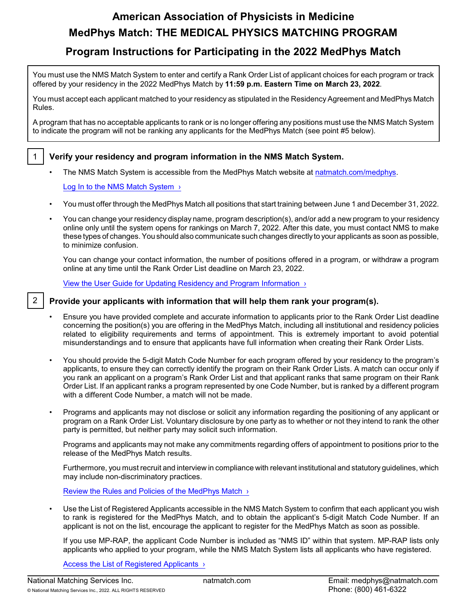# **American Association of Physicists in Medicine MedPhys Match: THE MEDICAL PHYSICS MATCHING PROGRAM**

# **Program Instructions for Participating in the 2022 MedPhys Match**

You must use the NMS Match System to enter and certify a Rank Order List of applicant choices for each program or track offered by your residency in the 2022 MedPhys Match by **11:59 p.m. Eastern Time on March 23, 2022**.

You must accept each applicant matched to your residency as stipulated in the Residency Agreement and MedPhys Match Rules.

A program that has no acceptable applicants to rank or is no longer offering any positions must use the NMS Match System to indicate the program will not be ranking any applicants for the MedPhys Match (see point #5 below).

- 1 **Verify your residency and program information in the NMS Match System.**
	- The NMS Match System is accessible from the MedPhys Match website at [natmatch.com/medphys](https://natmatch.com/medphys).

# Log In to the NMS Match System  $\rightarrow$

- You must offer through the MedPhys Match all positions that start training between June 1 and December 31, 2022.
- You can change your residency display name, program description(s), and/or add a new program to your residency online only until the system opens for rankings on March 7, 2022. After this date, you must contact NMS to make these types of changes.You should also communicate such changes directlyto your applicants as soon as possible, to minimize confusion.

You can change your contact information, the number of positions offered in a program, or withdraw a program online at any time until the Rank Order List deadline on March 23, 2022.

[View the User Guide for Updating Residency and Program Information ›](https://natmatch.com/medphys/programs/account-guide.html)

# 2 **Provide your applicants with information that will help them rank your program(s).**

- Ensure you have provided complete and accurate information to applicants prior to the Rank Order List deadline concerning the position(s) you are offering in the MedPhys Match, including all institutional and residency policies related to eligibility requirements and terms of appointment. This is extremely important to avoid potential misunderstandings and to ensure that applicants have full information when creating their Rank Order Lists.
- You should provide the 5-digit Match Code Number for each program offered by your residency to the program's applicants, to ensure they can correctly identify the program on their Rank Order Lists. A match can occur only if you rank an applicant on a program's Rank Order List and that applicant ranks that same program on their Rank Order List. If an applicant ranks a program represented by one Code Number, but is ranked by a different program with a different Code Number, a match will not be made.
- Programs and applicants may not disclose or solicit any information regarding the positioning of any applicant or program on a Rank Order List. Voluntary disclosure by one party as to whether or not they intend to rank the other party is permitted, but neither party may solicit such information.

Programs and applicants may not make any commitments regarding offers of appointment to positions prior to the release of the MedPhys Match results.

Furthermore, you must recruit and interview in compliance with relevant institutional and statutory guidelines, which may include non-discriminatory practices.

[Review the Rules and Policies of the MedPhys Match ›](https://natmatch.com/medphys/rules.html)

• Use the List of Registered Applicants accessible in the NMS Match System to confirm that each applicant you wish to rank is registered for the MedPhys Match, and to obtain the applicant's 5-digit Match Code Number. If an applicant is not on the list, encourage the applicant to register for the MedPhys Match as soon as possible.

If you use MP-RAP, the applicant Code Number is included as "NMS ID" within that system. MP-RAP lists only applicants who applied to your program, while the NMS Match System lists all applicants who have registered.

[Access the List of Registered Applicants ›](https://natmatch.com/medphys/programs/applications.html#appllist)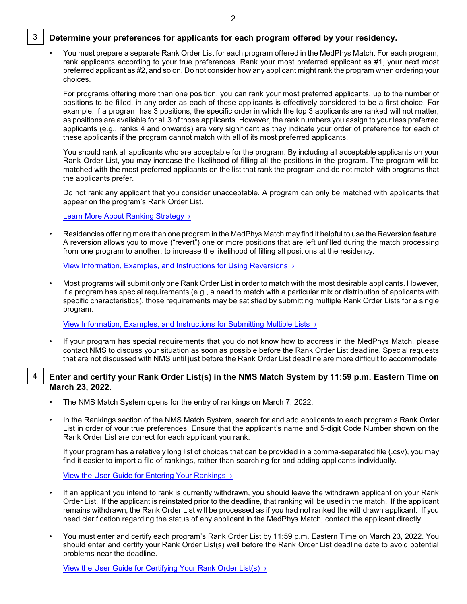# 3 **Determine your preferences for applicants for each program offered by your residency.**

• You must prepare a separate Rank Order List for each program offered in the MedPhys Match. For each program, rank applicants according to your true preferences. Rank your most preferred applicant as #1, your next most preferred applicant as #2, and so on. Do not consider how any applicant might rank the program when ordering your choices.

For programs offering more than one position, you can rank your most preferred applicants, up to the number of positions to be filled, in any order as each of these applicants is effectively considered to be a first choice. For example, if a program has 3 positions, the specific order in which the top 3 applicants are ranked will not matter, as positions are available for all 3 of those applicants. However, the rank numbers you assign to your less preferred applicants (e.g., ranks 4 and onwards) are very significant as they indicate your order of preference for each of these applicants if the program cannot match with all of its most preferred applicants.

You should rank all applicants who are acceptable for the program. By including all acceptable applicants on your Rank Order List, you may increase the likelihood of filling all the positions in the program. The program will be matched with the most preferred applicants on the list that rank the program and do not match with programs that the applicants prefer.

Do not rank any applicant that you consider unacceptable. A program can only be matched with applicants that appear on the program's Rank Order List.

#### [Learn More About Ranking Strategy ›](https://natmatch.com/medphys/programs/strategy.html)

• Residencies offering more than one program in the MedPhys Match may find it helpful to use the Reversion feature. A reversion allows you to move ("revert") one or more positions that are left unfilled during the match processing from one program to another, to increase the likelihood of filling all positions at the residency.

[View Information, Examples, and Instructions for Using Reversions ›](https://natmatch.com/medphys/programs/reversions.html)

• Most programs will submit only one Rank Order List in order to match with the most desirable applicants. However, if a program has special requirements (e.g., a need to match with a particular mix or distribution of applicants with specific characteristics), those requirements may be satisfied by submitting multiple Rank Order Lists for a single program.

[View Information, Examples, and Instructions for Submitting Multiple Lists ›](https://natmatch.com/medphys/programs/multiplelists.html)

• If your program has special requirements that you do not know how to address in the MedPhys Match, please contact NMS to discuss your situation as soon as possible before the Rank Order List deadline. Special requests that are not discussed with NMS until just before the Rank Order List deadline are more difficult to accommodate.

# 4 **Enter and certify your Rank Order List(s) in the NMS Match System by 11:59 p.m. Eastern Time on March 23, 2022.**

- The NMS Match System opens for the entry of rankings on March 7, 2022.
- In the Rankings section of the NMS Match System, search for and add applicants to each program's Rank Order List in order of your true preferences. Ensure that the applicant's name and 5-digit Code Number shown on the Rank Order List are correct for each applicant you rank.

If your program has a relatively long list of choices that can be provided in a comma-separated file (.csv), you may find it easier to import a file of rankings, rather than searching for and adding applicants individually.

### [View the User Guide for Entering Your Rankings ›](https://natmatch.com/medphys/programs/rankings-guide.html#enter)

- If an applicant you intend to rank is currently withdrawn, you should leave the withdrawn applicant on your Rank Order List. If the applicant is reinstated prior to the deadline, that ranking will be used in the match. If the applicant remains withdrawn, the Rank Order List will be processed as if you had not ranked the withdrawn applicant. If you need clarification regarding the status of any applicant in the MedPhys Match, contact the applicant directly.
- You must enter and certify each program's Rank Order List by 11:59 p.m. Eastern Time on March 23, 2022. You should enter and certify your Rank Order List(s) well before the Rank Order List deadline date to avoid potential problems near the deadline.

[View the User Guide for Certifying Your Rank](https://natmatch.com/medphys/programs/rankings-guide.html#certify) Order List(s) >